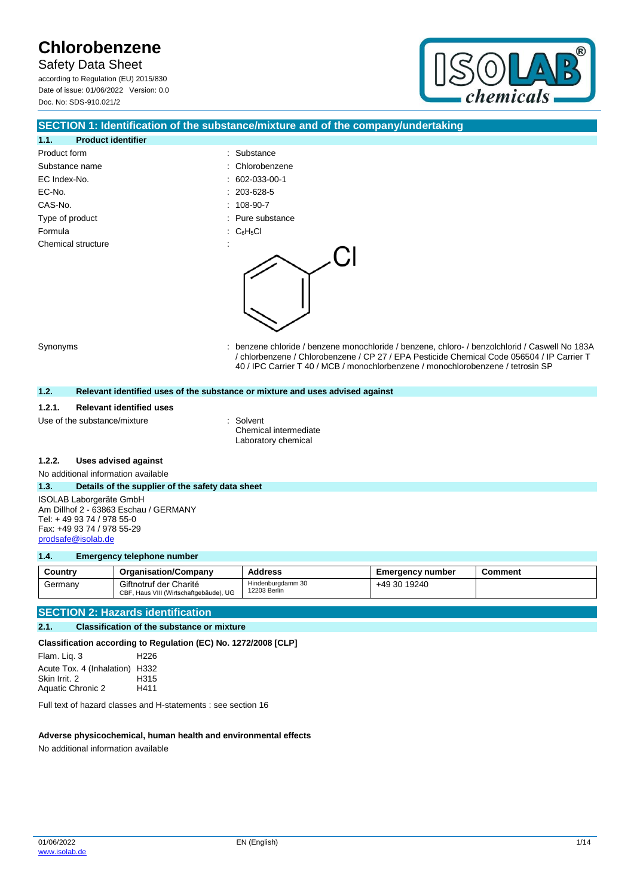Safety Data Sheet according to Regulation (EU) 2015/830 Date of issue: 01/06/2022 Version: 0.0 Doc. No: SDS-910.021/2



### **SECTION 1: Identification of the substance/mixture and of the company/undertaking**

: Substance : Chlorobenzene  $\therefore$  602-033-00-1  $: 203 - 628 - 5$  $: 108-90-7$ : Pure substance

| 1.1.            | <b>Product identifier</b> |  |
|-----------------|---------------------------|--|
| Product form    |                           |  |
| Substance name  |                           |  |
| EC Index-No.    |                           |  |
| EC-No.          |                           |  |
| CAS-No.         |                           |  |
| Type of product |                           |  |
| Formula         |                           |  |
|                 | Chemical structure        |  |
|                 |                           |  |



Synonyms : benzene chloride / benzene monochloride / benzene, chloro- / benzolchlorid / Caswell No 183A / chlorbenzene / Chlorobenzene / CP 27 / EPA Pesticide Chemical Code 056504 / IP Carrier T 40 / IPC Carrier T 40 / MCB / monochlorbenzene / monochlorobenzene / tetrosin SP

### **1.2. Relevant identified uses of the substance or mixture and uses advised against**

#### **1.2.1. Relevant identified uses**

Use of the substance/mixture : Solvent

Chemical intermediate Laboratory chemical

#### **1.2.2. Uses advised against**

No additional information available

#### **1.3. Details of the supplier of the safety data sheet**

ISOLAB Laborgeräte GmbH Am Dillhof 2 - 63863 Eschau / GERMANY Tel: + 49 93 74 / 978 55-0 Fax: +49 93 74 / 978 55-29 [prodsafe@isolab.de](mailto:prodsafe@isolab.de)

#### **1.4. Emergency telephone number**

| Country | <b>Organisation/Company</b>                                      | <b>Address</b>                    | Emergency number | <b>Comment</b> |
|---------|------------------------------------------------------------------|-----------------------------------|------------------|----------------|
| Germany | Giftnotruf der Charité<br>CBF, Haus VIII (Wirtschaftgebäude), UG | Hindenburgdamm 30<br>12203 Berlin | +49 30 19240     |                |

### **SECTION 2: Hazards identification**

**2.1. Classification of the substance or mixture**

**Classification according to Regulation (EC) No. 1272/2008 [CLP]**

Flam. Liq. 3 H226 Acute Tox. 4 (Inhalation) H332 Skin Irrit. 2 H315 Aquatic Chronic 2 H411

Full text of hazard classes and H-statements : see section 16

### **Adverse physicochemical, human health and environmental effects**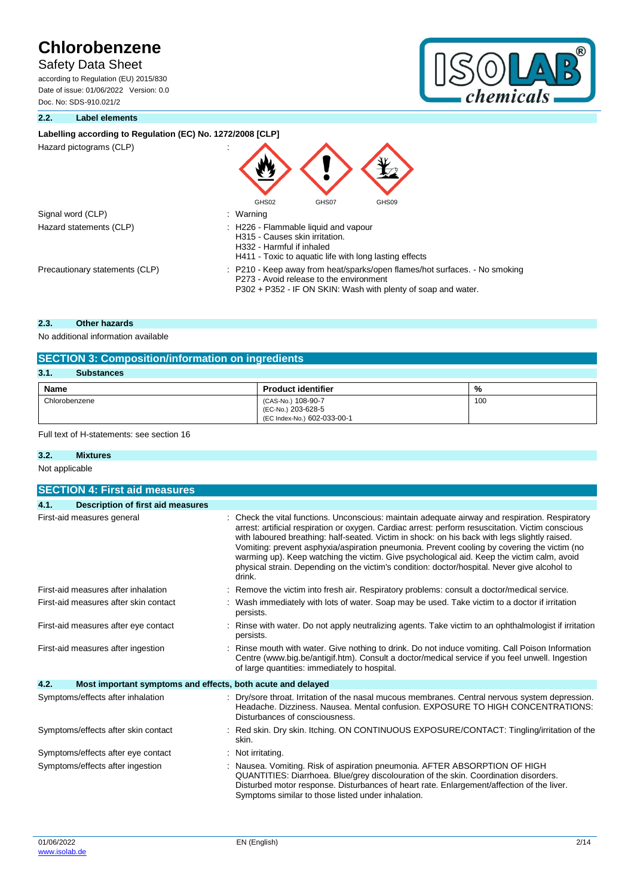## Safety Data Sheet

according to Regulation (EU) 2015/830 Date of issue: 01/06/2022 Version: 0.0 Doc. No: SDS-910.021/2



### **2.2. Label elements**

## Labelling according to Regulation (EC) No. 1272/2008 **[CLP] Extra labelling** to displayExtra classification (s) to display

| Hazard pictograms (CLP) |  |
|-------------------------|--|
|                         |  |

| Hazard pictograms (CLP)        |                                                                                                                                                                                        |  |  |
|--------------------------------|----------------------------------------------------------------------------------------------------------------------------------------------------------------------------------------|--|--|
|                                | GHS02<br>GHS07<br>GHS09                                                                                                                                                                |  |  |
| Signal word (CLP)              | : Warning                                                                                                                                                                              |  |  |
| Hazard statements (CLP)        | : H226 - Flammable liquid and vapour<br>H315 - Causes skin irritation.<br>H332 - Harmful if inhaled<br>H411 - Toxic to aquatic life with long lasting effects                          |  |  |
| Precautionary statements (CLP) | : P210 - Keep away from heat/sparks/open flames/hot surfaces. - No smoking<br>P273 - Avoid release to the environment<br>P302 + P352 - IF ON SKIN: Wash with plenty of soap and water. |  |  |

### **2.3. Other hazards**

No additional information available

| <b>SECTION 3: Composition/information on ingredients</b> |                                                                         |     |  |
|----------------------------------------------------------|-------------------------------------------------------------------------|-----|--|
| 3.1<br><b>Substances</b>                                 |                                                                         |     |  |
| Name<br><b>Product identifier</b><br>%                   |                                                                         |     |  |
| Chlorobenzene                                            | (CAS-No.) 108-90-7<br>(EC-No.) 203-628-5<br>(EC Index-No.) 602-033-00-1 | 100 |  |

Full text of H-statements: see section 16

### **3.2. Mixtures**

Not applicable

| <b>SECTION 4: First aid measures</b>                                |                                                                                                                                                                                                                                                                                                                                                                                                                                                                                                                                                                                                            |  |  |
|---------------------------------------------------------------------|------------------------------------------------------------------------------------------------------------------------------------------------------------------------------------------------------------------------------------------------------------------------------------------------------------------------------------------------------------------------------------------------------------------------------------------------------------------------------------------------------------------------------------------------------------------------------------------------------------|--|--|
| 4.1.<br><b>Description of first aid measures</b>                    |                                                                                                                                                                                                                                                                                                                                                                                                                                                                                                                                                                                                            |  |  |
| First-aid measures general                                          | Check the vital functions. Unconscious: maintain adequate airway and respiration. Respiratory<br>arrest: artificial respiration or oxygen. Cardiac arrest: perform resuscitation. Victim conscious<br>with laboured breathing: half-seated. Victim in shock: on his back with legs slightly raised.<br>Vomiting: prevent asphyxia/aspiration pneumonia. Prevent cooling by covering the victim (no<br>warming up). Keep watching the victim. Give psychological aid. Keep the victim calm, avoid<br>physical strain. Depending on the victim's condition: doctor/hospital. Never give alcohol to<br>drink. |  |  |
| First-aid measures after inhalation                                 | Remove the victim into fresh air. Respiratory problems: consult a doctor/medical service.                                                                                                                                                                                                                                                                                                                                                                                                                                                                                                                  |  |  |
| First-aid measures after skin contact                               | Wash immediately with lots of water. Soap may be used. Take victim to a doctor if irritation<br>persists.                                                                                                                                                                                                                                                                                                                                                                                                                                                                                                  |  |  |
| First-aid measures after eye contact                                | Rinse with water. Do not apply neutralizing agents. Take victim to an ophthalmologist if irritation<br>persists.                                                                                                                                                                                                                                                                                                                                                                                                                                                                                           |  |  |
| First-aid measures after ingestion                                  | Rinse mouth with water. Give nothing to drink. Do not induce vomiting. Call Poison Information<br>Centre (www.big.be/antigif.htm). Consult a doctor/medical service if you feel unwell. Ingestion<br>of large quantities: immediately to hospital.                                                                                                                                                                                                                                                                                                                                                         |  |  |
| 4.2.<br>Most important symptoms and effects, both acute and delayed |                                                                                                                                                                                                                                                                                                                                                                                                                                                                                                                                                                                                            |  |  |
| Symptoms/effects after inhalation                                   | Dry/sore throat. Irritation of the nasal mucous membranes. Central nervous system depression.<br>Headache. Dizziness. Nausea. Mental confusion. EXPOSURE TO HIGH CONCENTRATIONS:<br>Disturbances of consciousness.                                                                                                                                                                                                                                                                                                                                                                                         |  |  |
| Symptoms/effects after skin contact                                 | Red skin. Dry skin. Itching. ON CONTINUOUS EXPOSURE/CONTACT: Tingling/irritation of the<br>skin.                                                                                                                                                                                                                                                                                                                                                                                                                                                                                                           |  |  |
| Symptoms/effects after eye contact                                  | Not irritating.                                                                                                                                                                                                                                                                                                                                                                                                                                                                                                                                                                                            |  |  |
| Symptoms/effects after ingestion                                    | Nausea. Vomiting. Risk of aspiration pneumonia. AFTER ABSORPTION OF HIGH<br>QUANTITIES: Diarrhoea. Blue/grey discolouration of the skin. Coordination disorders.<br>Disturbed motor response. Disturbances of heart rate. Enlargement/affection of the liver.<br>Symptoms similar to those listed under inhalation.                                                                                                                                                                                                                                                                                        |  |  |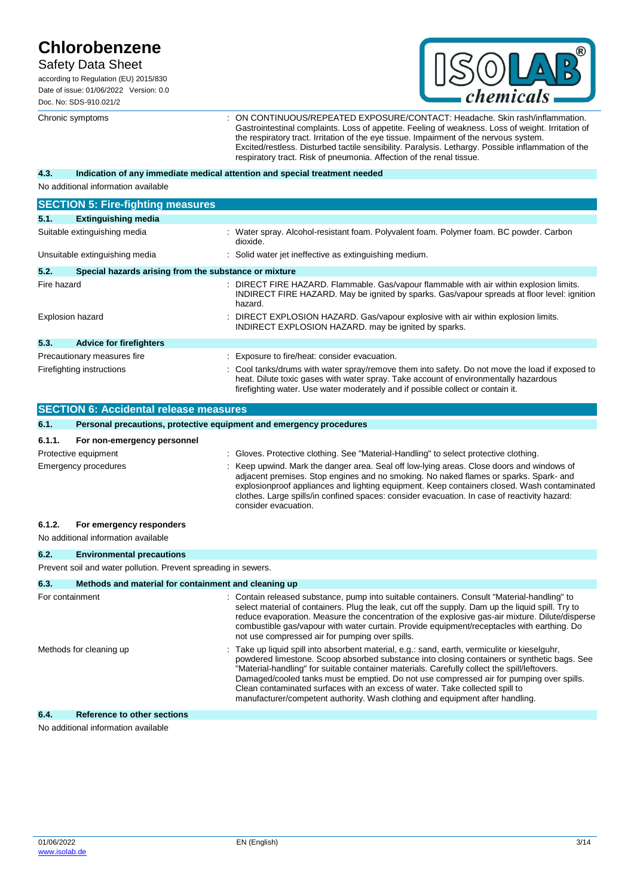## Safety Data Sheet

according to Regulation (EU) 2015/830 Date of issue: 01/06/2022 Version: 0.0 Doc. No: SDS-910.021/2



Chronic symptoms : ON CONTINUOUS/REPEATED EXPOSURE/CONTACT: Headache. Skin rash/inflammation. Gastrointestinal complaints. Loss of appetite. Feeling of weakness. Loss of weight. Irritation of the respiratory tract. Irritation of the eye tissue. Impairment of the nervous system. Excited/restless. Disturbed tactile sensibility. Paralysis. Lethargy. Possible inflammation of the respiratory tract. Risk of pneumonia. Affection of the renal tissue.

#### **4.3. Indication of any immediate medical attention and special treatment needed**

No additional information available

|                                | <b>SECTION 5: Fire-fighting measures</b>              |                                                                                                                                                                                                                                                                          |  |  |  |
|--------------------------------|-------------------------------------------------------|--------------------------------------------------------------------------------------------------------------------------------------------------------------------------------------------------------------------------------------------------------------------------|--|--|--|
| 5.1.                           | <b>Extinguishing media</b>                            |                                                                                                                                                                                                                                                                          |  |  |  |
| Suitable extinguishing media   |                                                       | : Water spray. Alcohol-resistant foam. Polyvalent foam. Polymer foam. BC powder. Carbon<br>dioxide.                                                                                                                                                                      |  |  |  |
| Unsuitable extinguishing media |                                                       | : Solid water jet ineffective as extinguishing medium.                                                                                                                                                                                                                   |  |  |  |
| 5.2.                           | Special hazards arising from the substance or mixture |                                                                                                                                                                                                                                                                          |  |  |  |
| Fire hazard                    |                                                       | : DIRECT FIRE HAZARD. Flammable. Gas/vapour flammable with air within explosion limits.<br>INDIRECT FIRE HAZARD. May be ignited by sparks. Gas/vapour spreads at floor level: ignition<br>hazard.                                                                        |  |  |  |
| <b>Explosion hazard</b>        |                                                       | : DIRECT EXPLOSION HAZARD. Gas/vapour explosive with air within explosion limits.<br>INDIRECT EXPLOSION HAZARD. may be ignited by sparks.                                                                                                                                |  |  |  |
| 5.3.                           | <b>Advice for firefighters</b>                        |                                                                                                                                                                                                                                                                          |  |  |  |
| Precautionary measures fire    |                                                       | : Exposure to fire/heat: consider evacuation.                                                                                                                                                                                                                            |  |  |  |
| Firefighting instructions      |                                                       | Cool tanks/drums with water spray/remove them into safety. Do not move the load if exposed to<br>heat. Dilute toxic gases with water spray. Take account of environmentally hazardous<br>firefighting water. Use water moderately and if possible collect or contain it. |  |  |  |

| <b>SECTION 6: Accidental release measures</b> |                                                                     |  |                                                                                                                                                                                                                                                                                                                                                                                                                                                                                                                                                         |  |
|-----------------------------------------------|---------------------------------------------------------------------|--|---------------------------------------------------------------------------------------------------------------------------------------------------------------------------------------------------------------------------------------------------------------------------------------------------------------------------------------------------------------------------------------------------------------------------------------------------------------------------------------------------------------------------------------------------------|--|
| 6.1.                                          | Personal precautions, protective equipment and emergency procedures |  |                                                                                                                                                                                                                                                                                                                                                                                                                                                                                                                                                         |  |
| 6.1.1.                                        | For non-emergency personnel                                         |  |                                                                                                                                                                                                                                                                                                                                                                                                                                                                                                                                                         |  |
|                                               | Protective equipment                                                |  | Gloves. Protective clothing. See "Material-Handling" to select protective clothing.                                                                                                                                                                                                                                                                                                                                                                                                                                                                     |  |
|                                               | Emergency procedures                                                |  | Keep upwind. Mark the danger area. Seal off low-lying areas. Close doors and windows of<br>adjacent premises. Stop engines and no smoking. No naked flames or sparks. Spark- and<br>explosionproof appliances and lighting equipment. Keep containers closed. Wash contaminated<br>clothes. Large spills/in confined spaces: consider evacuation. In case of reactivity hazard:<br>consider evacuation.                                                                                                                                                 |  |
| 6.1.2.                                        | For emergency responders                                            |  |                                                                                                                                                                                                                                                                                                                                                                                                                                                                                                                                                         |  |
|                                               | No additional information available                                 |  |                                                                                                                                                                                                                                                                                                                                                                                                                                                                                                                                                         |  |
| 6.2.                                          | <b>Environmental precautions</b>                                    |  |                                                                                                                                                                                                                                                                                                                                                                                                                                                                                                                                                         |  |
|                                               | Prevent soil and water pollution. Prevent spreading in sewers.      |  |                                                                                                                                                                                                                                                                                                                                                                                                                                                                                                                                                         |  |
| 6.3.                                          | Methods and material for containment and cleaning up                |  |                                                                                                                                                                                                                                                                                                                                                                                                                                                                                                                                                         |  |
| For containment                               |                                                                     |  | Contain released substance, pump into suitable containers. Consult "Material-handling" to<br>select material of containers. Plug the leak, cut off the supply. Dam up the liquid spill. Try to<br>reduce evaporation. Measure the concentration of the explosive gas-air mixture. Dilute/disperse<br>combustible gas/vapour with water curtain. Provide equipment/receptacles with earthing. Do<br>not use compressed air for pumping over spills.                                                                                                      |  |
| Methods for cleaning up                       |                                                                     |  | Take up liquid spill into absorbent material, e.g.: sand, earth, vermiculite or kieselguhr,<br>powdered limestone. Scoop absorbed substance into closing containers or synthetic bags. See<br>"Material-handling" for suitable container materials. Carefully collect the spill/leftovers.<br>Damaged/cooled tanks must be emptied. Do not use compressed air for pumping over spills.<br>Clean contaminated surfaces with an excess of water. Take collected spill to<br>manufacturer/competent authority. Wash clothing and equipment after handling. |  |

### **6.4. Reference to other sections**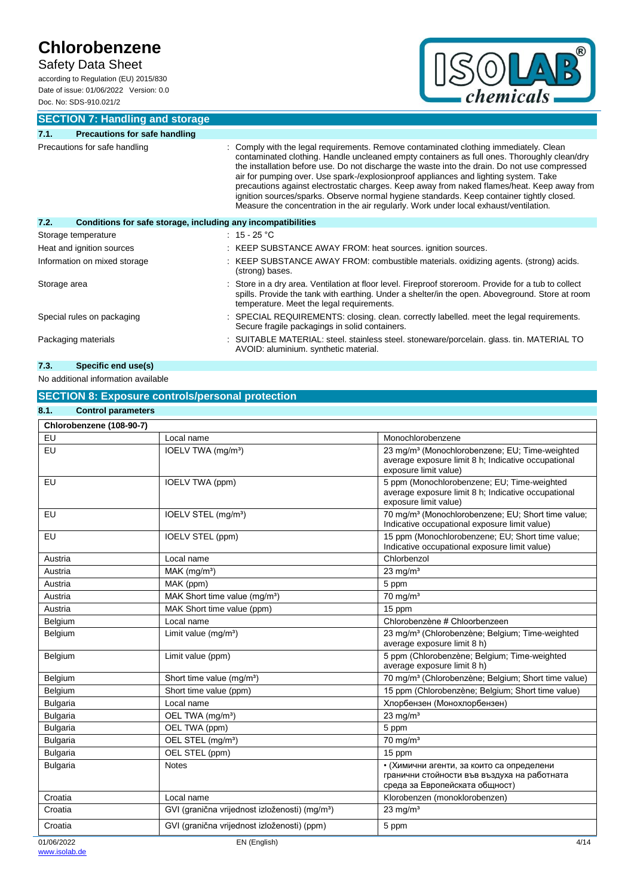Safety Data Sheet

according to Regulation (EU) 2015/830 Date of issue: 01/06/2022 Version: 0.0 Doc. No: SDS-910.021/2



**SECTION 7: Handling and storage**

### **7.1. Precautions for safe handling** Precautions for safe handling state is a state of the legal requirements. Remove contaminated clothing immediately. Clean contaminated clothing. Handle uncleaned empty containers as full ones. Thoroughly clean/dry the installation before use. Do not discharge the waste into the drain. Do not use compressed air for pumping over. Use spark-/explosionproof appliances and lighting system. Take precautions against electrostatic charges. Keep away from naked flames/heat. Keep away from ignition sources/sparks. Observe normal hygiene standards. Keep container tightly closed. Measure the concentration in the air regularly. Work under local exhaust/ventilation. **7.2. Conditions for safe storage, including any incompatibilities** Storage temperature : 15 - 25 °C Heat and ignition sources : KEEP SUBSTANCE AWAY FROM: heat sources. ignition sources. Information on mixed storage : KEEP SUBSTANCE AWAY FROM: combustible materials. oxidizing agents. (strong) acids. (strong) bases. Storage area **interpretation** : Store in a dry area. Ventilation at floor level. Fireproof storeroom. Provide for a tub to collect spills. Provide the tank with earthing. Under a shelter/in the open. Aboveground. Store at room temperature. Meet the legal requirements. Special rules on packaging : SPECIAL REQUIREMENTS: closing. clean. correctly labelled. meet the legal requirements. Secure fragile packagings in solid containers. Packaging materials **in the state of the SUITABLE MATERIAL**: steel. stainless steel. stoneware/porcelain. glass. tin. MATERIAL TO AVOID: aluminium. synthetic material. **7.3. Specific end use(s)**

### No additional information available

### **SECTION 8: Exposure controls/personal protection**

| 8.1.<br><b>Control parameters</b> |                                                            |                                                                                                                                            |  |  |
|-----------------------------------|------------------------------------------------------------|--------------------------------------------------------------------------------------------------------------------------------------------|--|--|
| Chlorobenzene (108-90-7)          |                                                            |                                                                                                                                            |  |  |
| EU                                | Local name                                                 | Monochlorobenzene                                                                                                                          |  |  |
| EU                                | IOELV TWA (mg/m <sup>3</sup> )                             | 23 mg/m <sup>3</sup> (Monochlorobenzene; EU; Time-weighted<br>average exposure limit 8 h; Indicative occupational<br>exposure limit value) |  |  |
| EU                                | IOELV TWA (ppm)                                            | 5 ppm (Monochlorobenzene; EU; Time-weighted<br>average exposure limit 8 h; Indicative occupational<br>exposure limit value)                |  |  |
| EU                                | IOELV STEL (mg/m <sup>3</sup> )                            | 70 mg/m <sup>3</sup> (Monochlorobenzene; EU; Short time value;<br>Indicative occupational exposure limit value)                            |  |  |
| EU                                | IOELV STEL (ppm)                                           | 15 ppm (Monochlorobenzene; EU; Short time value;<br>Indicative occupational exposure limit value)                                          |  |  |
| Austria                           | Local name                                                 | Chlorbenzol                                                                                                                                |  |  |
| Austria                           | $MAK$ (mg/m <sup>3</sup> )                                 | $23$ mg/m <sup>3</sup>                                                                                                                     |  |  |
| Austria                           | MAK (ppm)                                                  | 5 ppm                                                                                                                                      |  |  |
| Austria                           | MAK Short time value (mq/m <sup>3</sup> )                  | $70 \text{ mg/m}^3$                                                                                                                        |  |  |
| Austria                           | MAK Short time value (ppm)                                 | 15 ppm                                                                                                                                     |  |  |
| Belgium                           | Local name                                                 | Chlorobenzène # Chloorbenzeen                                                                                                              |  |  |
| Belgium                           | Limit value (mg/m <sup>3</sup> )                           | 23 mg/m <sup>3</sup> (Chlorobenzène; Belgium; Time-weighted<br>average exposure limit 8 h)                                                 |  |  |
| Belgium                           | Limit value (ppm)                                          | 5 ppm (Chlorobenzène; Belgium; Time-weighted<br>average exposure limit 8 h)                                                                |  |  |
| Belgium                           | Short time value (mg/m <sup>3</sup> )                      | 70 mg/m <sup>3</sup> (Chlorobenzène; Belgium; Short time value)                                                                            |  |  |
| Belgium                           | Short time value (ppm)                                     | 15 ppm (Chlorobenzène; Belgium; Short time value)                                                                                          |  |  |
| <b>Bulgaria</b>                   | Local name                                                 | Хлорбензен (Монохлорбензен)                                                                                                                |  |  |
| <b>Bulgaria</b>                   | OEL TWA (mg/m <sup>3</sup> )                               | $23$ mg/m <sup>3</sup>                                                                                                                     |  |  |
| <b>Bulgaria</b>                   | OEL TWA (ppm)                                              | 5 ppm                                                                                                                                      |  |  |
| <b>Bulgaria</b>                   | OEL STEL (mg/m <sup>3</sup> )                              | $70$ mg/m <sup>3</sup>                                                                                                                     |  |  |
| <b>Bulgaria</b>                   | OEL STEL (ppm)                                             | 15 ppm                                                                                                                                     |  |  |
| Bulgaria                          | <b>Notes</b>                                               | • (Химични агенти, за които са определени<br>гранични стойности във въздуха на работната<br>среда за Европейската общност)                 |  |  |
| Croatia                           | Local name                                                 | Klorobenzen (monoklorobenzen)                                                                                                              |  |  |
| Croatia                           | GVI (granična vrijednost izloženosti) (mg/m <sup>3</sup> ) | $23$ mg/m <sup>3</sup>                                                                                                                     |  |  |
| Croatia                           | GVI (granična vrijednost izloženosti) (ppm)                | 5 ppm                                                                                                                                      |  |  |
| 01/06/2022                        | EN (English)                                               | 4/14                                                                                                                                       |  |  |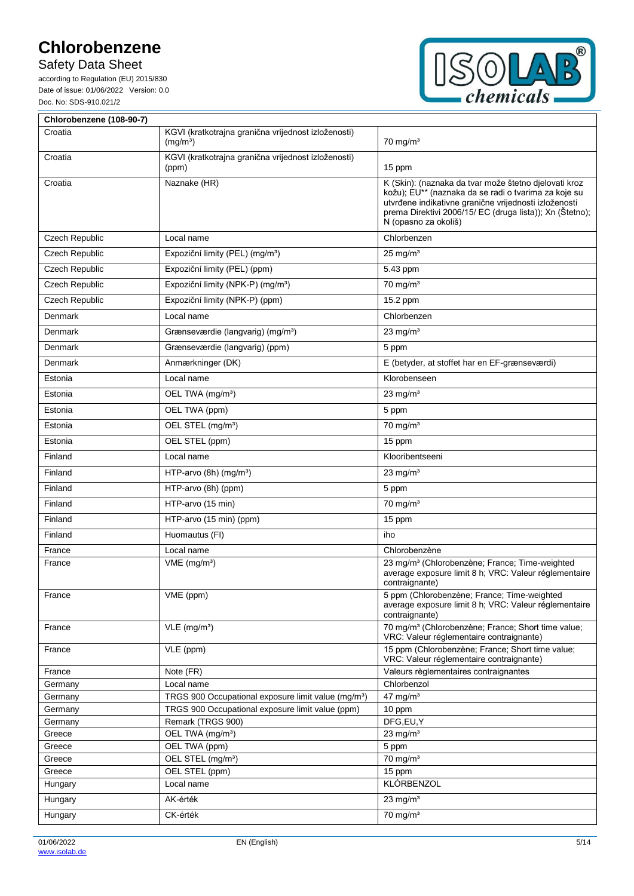Safety Data Sheet

according to Regulation (EU) 2015/830 Date of issue: 01/06/2022 Version: 0.0 Doc. No: SDS-910.021/2



| Chlorobenzene (108-90-7) |                                                                             |                                                                                                                                                                                                                                                            |  |  |  |
|--------------------------|-----------------------------------------------------------------------------|------------------------------------------------------------------------------------------------------------------------------------------------------------------------------------------------------------------------------------------------------------|--|--|--|
| Croatia                  | KGVI (kratkotrajna granična vrijednost izloženosti)<br>(mg/m <sup>3</sup> ) | $70 \text{ mg/m}^3$                                                                                                                                                                                                                                        |  |  |  |
| Croatia                  | KGVI (kratkotrajna granična vrijednost izloženosti)<br>(ppm)                | 15 ppm                                                                                                                                                                                                                                                     |  |  |  |
| Croatia                  | Naznake (HR)                                                                | K (Skin): (naznaka da tvar može štetno djelovati kroz<br>kožu); EU** (naznaka da se radi o tvarima za koje su<br>utvrđene indikativne granične vrijednosti izloženosti<br>prema Direktivi 2006/15/ EC (druga lista)); Xn (Štetno);<br>N (opasno za okoliš) |  |  |  |
| Czech Republic           | Local name                                                                  | Chlorbenzen                                                                                                                                                                                                                                                |  |  |  |
| Czech Republic           | Expoziční limity (PEL) (mg/m <sup>3</sup> )                                 | $25 \text{ mg/m}^3$                                                                                                                                                                                                                                        |  |  |  |
| Czech Republic           | Expoziční limity (PEL) (ppm)                                                | 5.43 ppm                                                                                                                                                                                                                                                   |  |  |  |
| Czech Republic           | Expoziční limity (NPK-P) (mg/m <sup>3</sup> )                               | $70$ mg/m <sup>3</sup>                                                                                                                                                                                                                                     |  |  |  |
| Czech Republic           | Expoziční limity (NPK-P) (ppm)                                              | 15.2 ppm                                                                                                                                                                                                                                                   |  |  |  |
| Denmark                  | Local name                                                                  | Chlorbenzen                                                                                                                                                                                                                                                |  |  |  |
| Denmark                  | Grænseværdie (langvarig) (mg/m <sup>3</sup> )                               | 23 mg/ $m3$                                                                                                                                                                                                                                                |  |  |  |
| Denmark                  | Grænseværdie (langvarig) (ppm)                                              | 5 ppm                                                                                                                                                                                                                                                      |  |  |  |
| Denmark                  | Anmærkninger (DK)                                                           | E (betyder, at stoffet har en EF-grænseværdi)                                                                                                                                                                                                              |  |  |  |
| Estonia                  | Local name                                                                  | Klorobenseen                                                                                                                                                                                                                                               |  |  |  |
| Estonia                  | OEL TWA (mg/m <sup>3</sup> )                                                | 23 mg/ $m3$                                                                                                                                                                                                                                                |  |  |  |
| Estonia                  | OEL TWA (ppm)                                                               | 5 ppm                                                                                                                                                                                                                                                      |  |  |  |
| Estonia                  | OEL STEL (mg/m <sup>3</sup> )                                               | $70 \text{ mg/m}^3$                                                                                                                                                                                                                                        |  |  |  |
|                          |                                                                             |                                                                                                                                                                                                                                                            |  |  |  |
| Estonia                  | OEL STEL (ppm)                                                              | 15 ppm                                                                                                                                                                                                                                                     |  |  |  |
| Finland                  | Local name                                                                  | Klooribentseeni                                                                                                                                                                                                                                            |  |  |  |
| Finland                  | HTP-arvo (8h) (mg/m <sup>3</sup> )                                          | 23 mg/ $m3$                                                                                                                                                                                                                                                |  |  |  |
| Finland                  | HTP-arvo (8h) (ppm)                                                         | 5 ppm                                                                                                                                                                                                                                                      |  |  |  |
| Finland                  | HTP-arvo (15 min)                                                           | $70$ mg/m <sup>3</sup>                                                                                                                                                                                                                                     |  |  |  |
| Finland                  | HTP-arvo (15 min) (ppm)                                                     | 15 ppm                                                                                                                                                                                                                                                     |  |  |  |
| Finland                  | Huomautus (FI)                                                              | iho                                                                                                                                                                                                                                                        |  |  |  |
| France                   | Local name                                                                  | Chlorobenzène                                                                                                                                                                                                                                              |  |  |  |
| France                   | $VME$ (mg/m <sup>3</sup> )                                                  | 23 mg/m <sup>3</sup> (Chlorobenzène; France; Time-weighted<br>average exposure limit 8 h; VRC: Valeur réglementaire<br>contraignante)                                                                                                                      |  |  |  |
| France                   | VME (ppm)                                                                   | 5 ppm (Chlorobenzène; France; Time-weighted<br>average exposure limit 8 h; VRC: Valeur réglementaire<br>contraignante)                                                                                                                                     |  |  |  |
| France                   | $VLE$ (mg/m <sup>3</sup> )                                                  | 70 mg/m <sup>3</sup> (Chlorobenzène; France; Short time value;<br>VRC: Valeur réglementaire contraignante)                                                                                                                                                 |  |  |  |
| France                   | VLE (ppm)                                                                   | 15 ppm (Chlorobenzène; France; Short time value;<br>VRC: Valeur réglementaire contraignante)                                                                                                                                                               |  |  |  |
| France                   | Note (FR)                                                                   | Valeurs règlementaires contraignantes                                                                                                                                                                                                                      |  |  |  |
| Germany                  | Local name                                                                  | Chlorbenzol                                                                                                                                                                                                                                                |  |  |  |
| Germany                  | TRGS 900 Occupational exposure limit value (mg/m <sup>3</sup> )             | 47 mg/ $m3$                                                                                                                                                                                                                                                |  |  |  |
| Germany                  | TRGS 900 Occupational exposure limit value (ppm)<br>Remark (TRGS 900)       | 10 ppm                                                                                                                                                                                                                                                     |  |  |  |
| Germany<br>Greece        | OEL TWA (mg/m <sup>3</sup> )                                                | DFG,EU,Y<br>23 mg/ $m3$                                                                                                                                                                                                                                    |  |  |  |
| Greece                   | OEL TWA (ppm)                                                               | 5 ppm                                                                                                                                                                                                                                                      |  |  |  |
| Greece                   | OEL STEL (mg/m <sup>3</sup> )                                               | $70$ mg/m <sup>3</sup>                                                                                                                                                                                                                                     |  |  |  |
| Greece                   | OEL STEL (ppm)                                                              | 15 ppm                                                                                                                                                                                                                                                     |  |  |  |
| Hungary                  | Local name                                                                  | KLÓRBENZOL                                                                                                                                                                                                                                                 |  |  |  |
| Hungary                  | AK-érték                                                                    | $23 \text{ mg/m}^3$                                                                                                                                                                                                                                        |  |  |  |
| Hungary                  | CK-érték                                                                    | $70$ mg/m <sup>3</sup>                                                                                                                                                                                                                                     |  |  |  |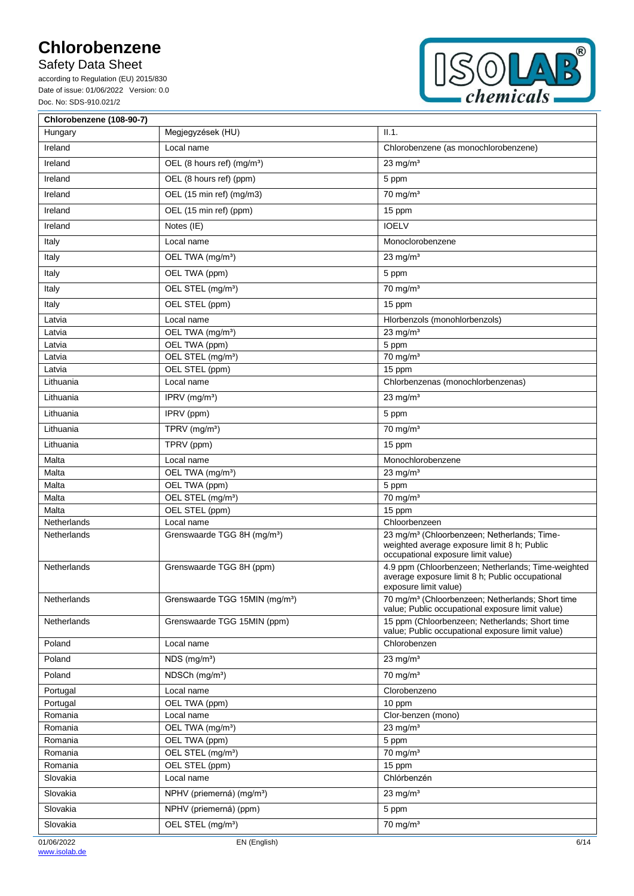Safety Data Sheet

according to Regulation (EU) 2015/830 Date of issue: 01/06/2022 Version: 0.0 Doc. No: SDS-910.021/2



| Chlorobenzene (108-90-7)     |                                            |                                                                                                                                              |
|------------------------------|--------------------------------------------|----------------------------------------------------------------------------------------------------------------------------------------------|
| Hungary                      | Megjegyzések (HU)                          | II.1.                                                                                                                                        |
| Ireland                      | Local name                                 | Chlorobenzene (as monochlorobenzene)                                                                                                         |
| Ireland                      | OEL (8 hours ref) (mg/m <sup>3</sup> )     | 23 mg/ $m3$                                                                                                                                  |
| Ireland                      | OEL (8 hours ref) (ppm)                    | 5 ppm                                                                                                                                        |
| Ireland                      | OEL (15 min ref) (mg/m3)                   | $70$ mg/m <sup>3</sup>                                                                                                                       |
| Ireland                      | OEL (15 min ref) (ppm)                     | 15 ppm                                                                                                                                       |
| Ireland                      | Notes (IE)                                 | <b>IOELV</b>                                                                                                                                 |
|                              |                                            |                                                                                                                                              |
| Italy                        | Local name                                 | Monoclorobenzene                                                                                                                             |
| Italy                        | OEL TWA (mg/m <sup>3</sup> )               | 23 mg/ $m3$                                                                                                                                  |
| Italy                        | OEL TWA (ppm)                              | 5 ppm                                                                                                                                        |
| Italy                        | OEL STEL (mg/m <sup>3</sup> )              | $70$ mg/m <sup>3</sup>                                                                                                                       |
| Italy                        | OEL STEL (ppm)                             | 15 ppm                                                                                                                                       |
| Latvia                       | Local name                                 | Hlorbenzols (monohlorbenzols)                                                                                                                |
| Latvia                       | OEL TWA (mg/m <sup>3</sup> )               | 23 mg/ $m3$                                                                                                                                  |
| Latvia                       | OEL TWA (ppm)                              | 5 ppm                                                                                                                                        |
| Latvia                       | OEL STEL (mg/m <sup>3</sup> )              | $70$ mg/m <sup>3</sup>                                                                                                                       |
| Latvia                       | OEL STEL (ppm)                             | 15 ppm                                                                                                                                       |
| Lithuania                    | Local name                                 | Chlorbenzenas (monochlorbenzenas)                                                                                                            |
| Lithuania                    | IPRV $(mg/m3)$                             | $23$ mg/m <sup>3</sup>                                                                                                                       |
| Lithuania                    | IPRV (ppm)                                 | 5 ppm                                                                                                                                        |
| Lithuania                    | TPRV (mg/m <sup>3</sup> )                  | $70 \text{ mg/m}^3$                                                                                                                          |
| Lithuania                    | TPRV (ppm)                                 | 15 ppm                                                                                                                                       |
| Malta                        | Local name                                 | Monochlorobenzene                                                                                                                            |
| $\overline{\mathsf{M}}$ alta | OEL TWA (mg/m <sup>3</sup> )               | 23 mg/ $m3$                                                                                                                                  |
| Malta                        | OEL TWA (ppm)                              | 5 ppm                                                                                                                                        |
| Malta                        | OEL STEL (mg/m <sup>3</sup> )              | $70$ mg/m <sup>3</sup>                                                                                                                       |
| Malta                        | OEL STEL (ppm)                             | 15 ppm                                                                                                                                       |
| Netherlands                  | Local name                                 | Chloorbenzeen                                                                                                                                |
| Netherlands                  | Grenswaarde TGG 8H (mg/m <sup>3</sup> )    | 23 mg/m <sup>3</sup> (Chloorbenzeen; Netherlands; Time-<br>weighted average exposure limit 8 h; Public<br>occupational exposure limit value) |
| Netherlands                  | Grenswaarde TGG 8H (ppm)                   | 4.9 ppm (Chloorbenzeen; Netherlands; Time-weighted<br>average exposure limit 8 h; Public occupational<br>exposure limit value)               |
| Netherlands                  | Grenswaarde TGG 15MIN (mg/m <sup>3</sup> ) | 70 mg/m <sup>3</sup> (Chloorbenzeen; Netherlands; Short time<br>value; Public occupational exposure limit value)                             |
| Netherlands                  | Grenswaarde TGG 15MIN (ppm)                | 15 ppm (Chloorbenzeen; Netherlands; Short time<br>value; Public occupational exposure limit value)                                           |
| Poland                       | Local name                                 | Chlorobenzen                                                                                                                                 |
| Poland                       | $NDS$ (mg/m <sup>3</sup> )                 | $23$ mg/m <sup>3</sup>                                                                                                                       |
| Poland                       | NDSCh (mg/m <sup>3</sup> )                 | $70 \text{ mg/m}^3$                                                                                                                          |
| Portugal                     | Local name                                 | Clorobenzeno                                                                                                                                 |
| Portugal                     | OEL TWA (ppm)                              | 10 ppm                                                                                                                                       |
| Romania                      | Local name                                 | Clor-benzen (mono)                                                                                                                           |
| Romania                      | OEL TWA (mg/m <sup>3</sup> )               | 23 mg/ $m3$                                                                                                                                  |
| Romania                      | OEL TWA (ppm)                              | 5 ppm                                                                                                                                        |
| Romania                      | OEL STEL (mg/m <sup>3</sup> )              | $70$ mg/m <sup>3</sup>                                                                                                                       |
| Romania                      | OEL STEL (ppm)                             | 15 ppm                                                                                                                                       |
| Slovakia                     | Local name                                 | Chlórbenzén                                                                                                                                  |
| Slovakia                     | NPHV (priemerná) (mg/m <sup>3</sup> )      | $23 \text{ mg/m}^3$                                                                                                                          |
| Slovakia                     | NPHV (priemerná) (ppm)                     | 5 ppm                                                                                                                                        |
| Slovakia                     | OEL STEL (mg/m <sup>3</sup> )              | $70$ mg/m <sup>3</sup>                                                                                                                       |
| 01/06/2022                   | EN (English)                               | 6/14                                                                                                                                         |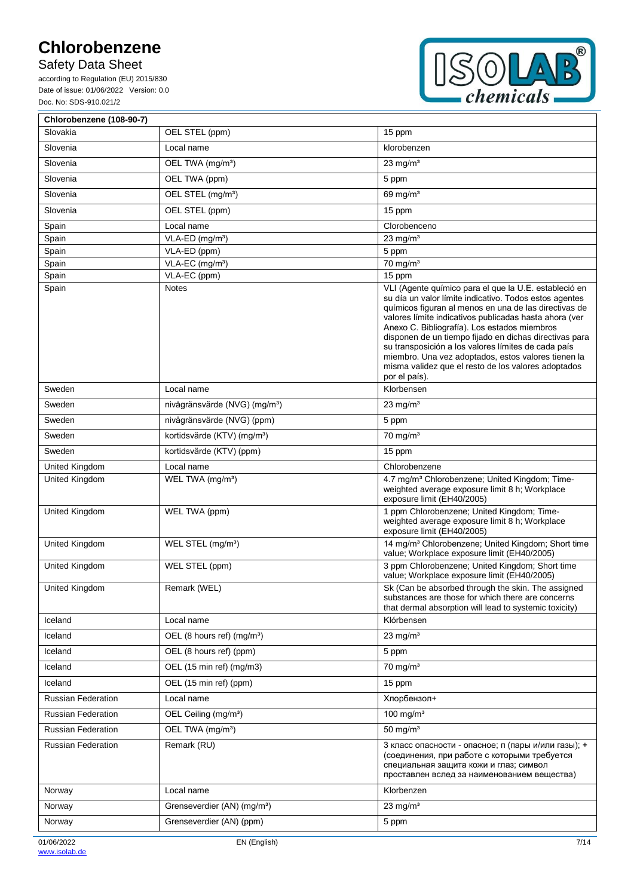Safety Data Sheet

according to Regulation (EU) 2015/830 Date of issue: 01/06/2022 Version: 0.0 Doc. No: SDS-910.021/2



| Chlorobenzene (108-90-7)  |                                           |                                                                                                                                                                                                                                                                                                                                                                                                                                                                                                                                    |
|---------------------------|-------------------------------------------|------------------------------------------------------------------------------------------------------------------------------------------------------------------------------------------------------------------------------------------------------------------------------------------------------------------------------------------------------------------------------------------------------------------------------------------------------------------------------------------------------------------------------------|
| Slovakia                  | OEL STEL (ppm)                            | 15 ppm                                                                                                                                                                                                                                                                                                                                                                                                                                                                                                                             |
| Slovenia                  | Local name                                | klorobenzen                                                                                                                                                                                                                                                                                                                                                                                                                                                                                                                        |
| Slovenia                  | OEL TWA (mg/m <sup>3</sup> )              | 23 mg/ $m3$                                                                                                                                                                                                                                                                                                                                                                                                                                                                                                                        |
| Slovenia                  | OEL TWA (ppm)                             | 5 ppm                                                                                                                                                                                                                                                                                                                                                                                                                                                                                                                              |
| Slovenia                  | OEL STEL (mg/m <sup>3</sup> )             | 69 mg/m <sup>3</sup>                                                                                                                                                                                                                                                                                                                                                                                                                                                                                                               |
| Slovenia                  | OEL STEL (ppm)                            | 15 ppm                                                                                                                                                                                                                                                                                                                                                                                                                                                                                                                             |
| Spain                     | Local name                                | Clorobenceno                                                                                                                                                                                                                                                                                                                                                                                                                                                                                                                       |
| Spain                     | $VLA-ED$ (mg/m <sup>3</sup> )             | $23 \text{ mg/m}^3$                                                                                                                                                                                                                                                                                                                                                                                                                                                                                                                |
| Spain                     | VLA-ED (ppm)                              | 5 ppm                                                                                                                                                                                                                                                                                                                                                                                                                                                                                                                              |
| Spain                     | VLA-EC (mg/m <sup>3</sup> )               | $70$ mg/m <sup>3</sup>                                                                                                                                                                                                                                                                                                                                                                                                                                                                                                             |
| Spain                     | VLA-EC (ppm)                              | 15 ppm                                                                                                                                                                                                                                                                                                                                                                                                                                                                                                                             |
| Spain                     | <b>Notes</b>                              | VLI (Agente químico para el que la U.E. estableció en<br>su día un valor límite indicativo. Todos estos agentes<br>químicos figuran al menos en una de las directivas de<br>valores límite indicativos publicadas hasta ahora (ver<br>Anexo C. Bibliografía). Los estados miembros<br>disponen de un tiempo fijado en dichas directivas para<br>su transposición a los valores límites de cada país<br>miembro. Una vez adoptados, estos valores tienen la<br>misma validez que el resto de los valores adoptados<br>por el país). |
| Sweden                    | Local name                                | Klorbensen                                                                                                                                                                                                                                                                                                                                                                                                                                                                                                                         |
| Sweden                    | nivågränsvärde (NVG) (mg/m <sup>3</sup> ) | $23 \text{ mg/m}^3$                                                                                                                                                                                                                                                                                                                                                                                                                                                                                                                |
| Sweden                    | nivågränsvärde (NVG) (ppm)                | 5 ppm                                                                                                                                                                                                                                                                                                                                                                                                                                                                                                                              |
| Sweden                    | kortidsvärde (KTV) (mg/m <sup>3</sup> )   | $70 \text{ mg/m}^3$                                                                                                                                                                                                                                                                                                                                                                                                                                                                                                                |
| Sweden                    | kortidsvärde (KTV) (ppm)                  | 15 ppm                                                                                                                                                                                                                                                                                                                                                                                                                                                                                                                             |
| United Kingdom            | Local name                                | Chlorobenzene                                                                                                                                                                                                                                                                                                                                                                                                                                                                                                                      |
| United Kingdom            | WEL TWA (mg/m <sup>3</sup> )              | 4.7 mg/m <sup>3</sup> Chlorobenzene; United Kingdom; Time-<br>weighted average exposure limit 8 h; Workplace<br>exposure limit (EH40/2005)                                                                                                                                                                                                                                                                                                                                                                                         |
| United Kingdom            | WEL TWA (ppm)                             | 1 ppm Chlorobenzene; United Kingdom; Time-<br>weighted average exposure limit 8 h; Workplace<br>exposure limit (EH40/2005)                                                                                                                                                                                                                                                                                                                                                                                                         |
| United Kingdom            | WEL STEL (mg/m <sup>3</sup> )             | 14 mg/m <sup>3</sup> Chlorobenzene; United Kingdom; Short time<br>value; Workplace exposure limit (EH40/2005)                                                                                                                                                                                                                                                                                                                                                                                                                      |
| United Kingdom            | WEL STEL (ppm)                            | 3 ppm Chlorobenzene; United Kingdom; Short time<br>value; Workplace exposure limit (EH40/2005)                                                                                                                                                                                                                                                                                                                                                                                                                                     |
| United Kingdom            | Remark (WEL)                              | Sk (Can be absorbed through the skin. The assigned<br>substances are those for which there are concerns<br>that dermal absorption will lead to systemic toxicity)                                                                                                                                                                                                                                                                                                                                                                  |
| Iceland                   | Local name                                | Klórbensen                                                                                                                                                                                                                                                                                                                                                                                                                                                                                                                         |
| Iceland                   | OEL (8 hours ref) (mg/m <sup>3</sup> )    | 23 mg/ $m3$                                                                                                                                                                                                                                                                                                                                                                                                                                                                                                                        |
| Iceland                   | OEL (8 hours ref) (ppm)                   | 5 ppm                                                                                                                                                                                                                                                                                                                                                                                                                                                                                                                              |
| Iceland                   | OEL (15 min ref) (mg/m3)                  | $70$ mg/m <sup>3</sup>                                                                                                                                                                                                                                                                                                                                                                                                                                                                                                             |
| Iceland                   | OEL (15 min ref) (ppm)                    | 15 ppm                                                                                                                                                                                                                                                                                                                                                                                                                                                                                                                             |
| <b>Russian Federation</b> | Local name                                | Хлорбензол+                                                                                                                                                                                                                                                                                                                                                                                                                                                                                                                        |
| <b>Russian Federation</b> | OEL Ceiling (mg/m <sup>3</sup> )          | 100 mg/ $m3$                                                                                                                                                                                                                                                                                                                                                                                                                                                                                                                       |
| <b>Russian Federation</b> | OEL TWA (mg/m <sup>3</sup> )              | $50 \text{ mg/m}^3$                                                                                                                                                                                                                                                                                                                                                                                                                                                                                                                |
| <b>Russian Federation</b> | Remark (RU)                               | 3 класс опасности - опасное; п (пары и/или газы); +<br>(соединения, при работе с которыми требуется<br>специальная защита кожи и глаз; символ<br>проставлен вслед за наименованием вещества)                                                                                                                                                                                                                                                                                                                                       |
| Norway                    | Local name                                | Klorbenzen                                                                                                                                                                                                                                                                                                                                                                                                                                                                                                                         |
| Norway                    | Grenseverdier (AN) (mg/m <sup>3</sup> )   | $23 \text{ mg/m}^3$                                                                                                                                                                                                                                                                                                                                                                                                                                                                                                                |
| Norway                    | Grenseverdier (AN) (ppm)                  | 5 ppm                                                                                                                                                                                                                                                                                                                                                                                                                                                                                                                              |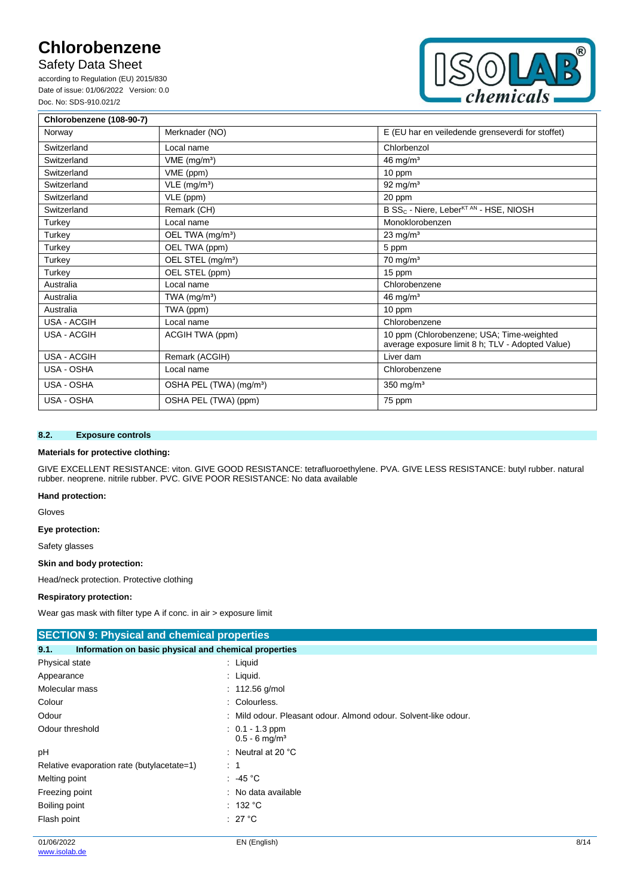Safety Data Sheet

according to Regulation (EU) 2015/830 Date of issue: 01/06/2022 Version: 0.0 Doc. No: SDS-910.021/2



| Chlorobenzene (108-90-7) |                                     |                                                                                               |  |
|--------------------------|-------------------------------------|-----------------------------------------------------------------------------------------------|--|
| Norway                   | Merknader (NO)                      | E (EU har en veiledende grenseverdi for stoffet)                                              |  |
| Switzerland              | Local name                          | Chlorbenzol                                                                                   |  |
| Switzerland              | $VME$ (mg/m <sup>3</sup> )          | 46 mg/ $m3$                                                                                   |  |
| Switzerland              | VME (ppm)                           | 10 ppm                                                                                        |  |
| Switzerland              | $VLE$ (mg/m <sup>3</sup> )          | 92 mg/m <sup>3</sup>                                                                          |  |
| Switzerland              | VLE (ppm)                           | 20 ppm                                                                                        |  |
| Switzerland              | Remark (CH)                         | B SS <sub>C</sub> - Niere, Leber <sup>KT AN</sup> - HSE, NIOSH                                |  |
| Turkey                   | Local name                          | Monoklorobenzen                                                                               |  |
| Turkey                   | OEL TWA (mg/m <sup>3</sup> )        | $23$ mg/m <sup>3</sup>                                                                        |  |
| Turkey                   | OEL TWA (ppm)                       | 5 ppm                                                                                         |  |
| Turkey                   | OEL STEL (mg/m <sup>3</sup> )       | $70 \text{ mg/m}^3$                                                                           |  |
| Turkey                   | OEL STEL (ppm)                      | 15 ppm                                                                                        |  |
| Australia                | Local name                          | Chlorobenzene                                                                                 |  |
| Australia                | TWA $(mg/m3)$                       | 46 mg/ $m3$                                                                                   |  |
| Australia                | TWA (ppm)                           | 10 ppm                                                                                        |  |
| <b>USA - ACGIH</b>       | Local name                          | Chlorobenzene                                                                                 |  |
| <b>USA - ACGIH</b>       | ACGIH TWA (ppm)                     | 10 ppm (Chlorobenzene; USA; Time-weighted<br>average exposure limit 8 h; TLV - Adopted Value) |  |
| <b>USA - ACGIH</b>       | Remark (ACGIH)                      | Liver dam                                                                                     |  |
| USA - OSHA               | Local name                          | Chlorobenzene                                                                                 |  |
| USA - OSHA               | OSHA PEL (TWA) (mg/m <sup>3</sup> ) | 350 mg/ $m3$                                                                                  |  |
| USA - OSHA               | OSHA PEL (TWA) (ppm)                | 75 ppm                                                                                        |  |

### **8.2. Exposure controls**

### **Materials for protective clothing:**

GIVE EXCELLENT RESISTANCE: viton. GIVE GOOD RESISTANCE: tetrafluoroethylene. PVA. GIVE LESS RESISTANCE: butyl rubber. natural rubber. neoprene. nitrile rubber. PVC. GIVE POOR RESISTANCE: No data available

#### **Hand protection:**

Gloves

### **Eye protection:**

Safety glasses

#### **Skin and body protection:**

Head/neck protection. Protective clothing

#### **Respiratory protection:**

Wear gas mask with filter type A if conc. in air > exposure limit

| <b>SECTION 9: Physical and chemical properties</b>            |                                                                 |      |
|---------------------------------------------------------------|-----------------------------------------------------------------|------|
| Information on basic physical and chemical properties<br>9.1. |                                                                 |      |
| Physical state                                                | $:$ Liquid                                                      |      |
| Appearance                                                    | $:$ Liquid.                                                     |      |
| Molecular mass                                                | : $112.56$ g/mol                                                |      |
| Colour                                                        | : Colourless.                                                   |      |
| Odour                                                         | : Mild odour. Pleasant odour. Almond odour. Solvent-like odour. |      |
| Odour threshold                                               | $: 0.1 - 1.3$ ppm<br>$0.5 - 6$ mg/m <sup>3</sup>                |      |
| pH                                                            | : Neutral at 20 $^{\circ}$ C                                    |      |
| Relative evaporation rate (butylacetate=1)                    | $\therefore$ 1                                                  |      |
| Melting point                                                 | $\therefore$ -45 °C                                             |      |
| Freezing point                                                | : No data available                                             |      |
| Boiling point                                                 | : 132 °C                                                        |      |
| Flash point                                                   | : 27 °C                                                         |      |
| 01/06/2022                                                    | EN (English)                                                    | 8/14 |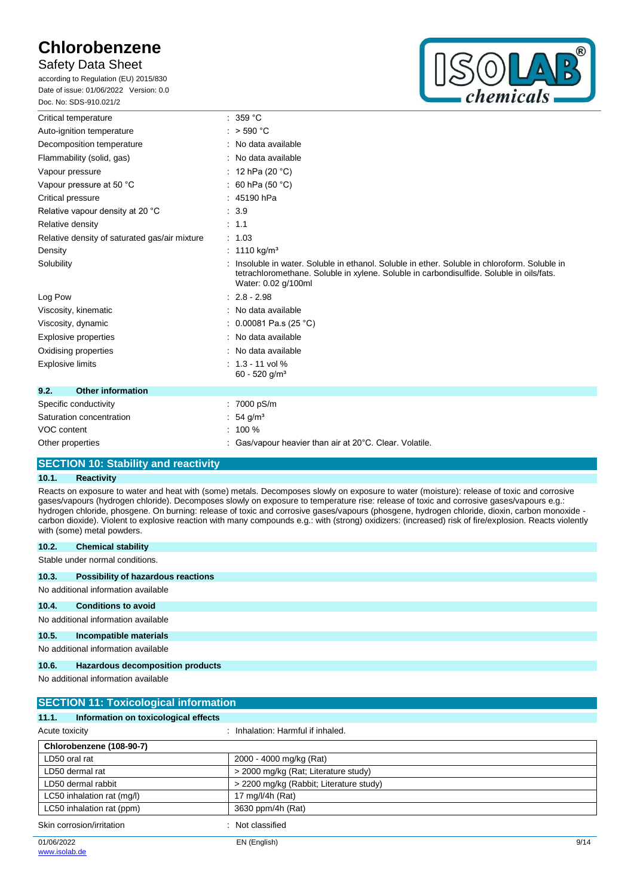### Safety Data Sheet

according to Regulation (EU) 2015/830 Date of issue: 01/06/2022 Version: 0.0 Doc. No: SDS-910.021/2



| Critical temperature                          | 359 °C                                                                                                                                                                                                         |
|-----------------------------------------------|----------------------------------------------------------------------------------------------------------------------------------------------------------------------------------------------------------------|
| Auto-ignition temperature                     | : $>$ 590 °C                                                                                                                                                                                                   |
| Decomposition temperature                     | : No data available                                                                                                                                                                                            |
| Flammability (solid, gas)                     | No data available                                                                                                                                                                                              |
| Vapour pressure                               | : 12 hPa (20 $^{\circ}$ C)                                                                                                                                                                                     |
| Vapour pressure at 50 °C                      | 60 hPa (50 °C)                                                                                                                                                                                                 |
| Critical pressure                             | 45190 hPa                                                                                                                                                                                                      |
| Relative vapour density at 20 °C              | .3.9                                                                                                                                                                                                           |
| Relative density                              | : 1.1                                                                                                                                                                                                          |
| Relative density of saturated gas/air mixture | : 1.03                                                                                                                                                                                                         |
| Density                                       | : 1110 kg/m <sup>3</sup>                                                                                                                                                                                       |
| Solubility                                    | Insoluble in water. Soluble in ethanol. Soluble in ether. Soluble in chloroform. Soluble in<br>tetrachloromethane. Soluble in xylene. Soluble in carbondisulfide. Soluble in oils/fats.<br>Water: 0.02 g/100ml |
| Log Pow                                       | $2.8 - 2.98$                                                                                                                                                                                                   |
| Viscosity, kinematic                          | : No data available                                                                                                                                                                                            |
| Viscosity, dynamic                            | : 0.00081 Pa.s (25 °C)                                                                                                                                                                                         |
| Explosive properties                          | : No data available                                                                                                                                                                                            |
| Oxidising properties                          | : No data available                                                                                                                                                                                            |
| <b>Explosive limits</b>                       | $: 1.3 - 11$ vol %<br>$60 - 520$ g/m <sup>3</sup>                                                                                                                                                              |
| <b>Other information</b><br>9.2.              |                                                                                                                                                                                                                |
| Specific conductivity                         | : 7000 pS/m                                                                                                                                                                                                    |
| Saturation concentration                      | 54 $g/m3$                                                                                                                                                                                                      |
| VOC content                                   | 100 %                                                                                                                                                                                                          |
| Other properties                              | : Gas/vapour heavier than air at $20^{\circ}$ C. Clear. Volatile.                                                                                                                                              |
|                                               |                                                                                                                                                                                                                |

### **SECTION 10: Stability and reactivity**

### **10.1. Reactivity**

Reacts on exposure to water and heat with (some) metals. Decomposes slowly on exposure to water (moisture): release of toxic and corrosive gases/vapours (hydrogen chloride). Decomposes slowly on exposure to temperature rise: release of toxic and corrosive gases/vapours e.g.: hydrogen chloride, phosgene. On burning: release of toxic and corrosive gases/vapours (phosgene, hydrogen chloride, dioxin, carbon monoxide carbon dioxide). Violent to explosive reaction with many compounds e.g.: with (strong) oxidizers: (increased) risk of fire/explosion. Reacts violently with (some) metal powders.

| 10.2.                               | <b>Chemical stability</b>                 |  |
|-------------------------------------|-------------------------------------------|--|
| Stable under normal conditions.     |                                           |  |
| 10.3.                               | <b>Possibility of hazardous reactions</b> |  |
|                                     | No additional information available       |  |
| 10.4.                               | <b>Conditions to avoid</b>                |  |
|                                     | No additional information available       |  |
| 10.5.                               | Incompatible materials                    |  |
| No additional information available |                                           |  |

### **10.6. Hazardous decomposition products**

| <b>SECTION 11: Toxicological information</b>  |                                           |      |
|-----------------------------------------------|-------------------------------------------|------|
| Information on toxicological effects<br>11.1. |                                           |      |
| Acute toxicity                                | Inhalation: Harmful if inhaled.<br>$\sim$ |      |
| Chlorobenzene (108-90-7)                      |                                           |      |
| LD50 oral rat                                 | 2000 - 4000 mg/kg (Rat)                   |      |
| LD50 dermal rat                               | > 2000 mg/kg (Rat; Literature study)      |      |
| LD50 dermal rabbit                            | > 2200 mg/kg (Rabbit; Literature study)   |      |
| LC50 inhalation rat (mg/l)                    | 17 mg/l/4h (Rat)                          |      |
| LC50 inhalation rat (ppm)                     | 3630 ppm/4h (Rat)                         |      |
| Skin corrosion/irritation                     | Not classified<br>٠                       |      |
| 01/06/2022                                    | EN (English)                              | 9/14 |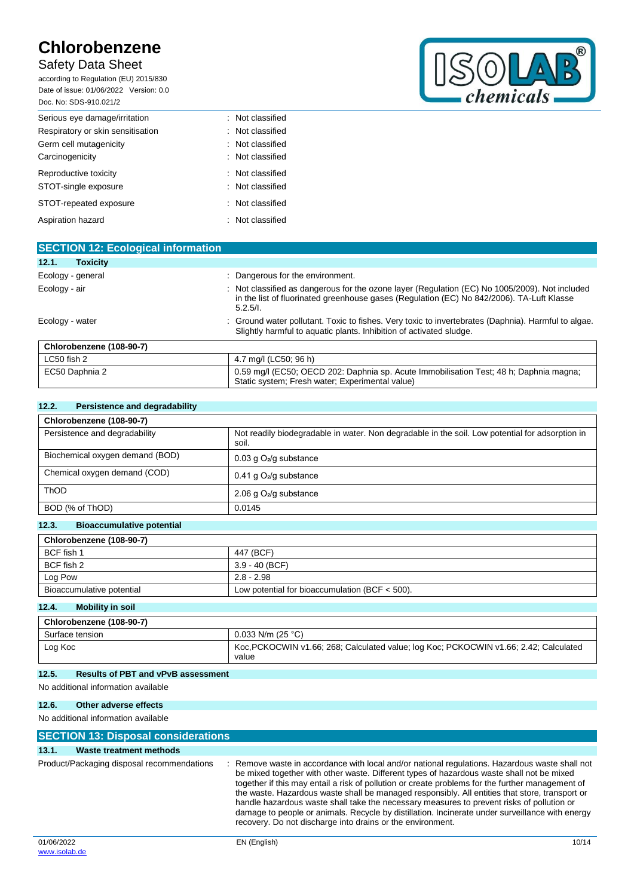## Safety Data Sheet

according to Regulation (EU) 2015/830 Date of issue: 01/06/2022 Version: 0.0 Doc. No: SDS-910.021/2



| DUG. NO. 3D3-910.021/2            |                  |
|-----------------------------------|------------------|
| Serious eye damage/irritation     | : Not classified |
| Respiratory or skin sensitisation | : Not classified |
| Germ cell mutagenicity            | : Not classified |
| Carcinogenicity                   | : Not classified |
| Reproductive toxicity             | : Not classified |
| STOT-single exposure              | : Not classified |
| STOT-repeated exposure            | : Not classified |
| Aspiration hazard                 | : Not classified |

| <b>SECTION 12: Ecological information</b> |                                                                                                                                                                                                         |
|-------------------------------------------|---------------------------------------------------------------------------------------------------------------------------------------------------------------------------------------------------------|
| <b>Toxicity</b><br>12.1.                  |                                                                                                                                                                                                         |
| Ecology - general                         | Dangerous for the environment.                                                                                                                                                                          |
| Ecology - air                             | : Not classified as dangerous for the ozone layer (Regulation (EC) No 1005/2009). Not included<br>in the list of fluorinated greenhouse gases (Regulation (EC) No 842/2006). TA-Luft Klasse<br>5.2.5/l. |
| Ecology - water                           | : Ground water pollutant. Toxic to fishes. Very toxic to invertebrates (Daphnia). Harmful to algae.<br>Slightly harmful to aquatic plants. Inhibition of activated sludge.                              |
| Chlorobenzene (108-90-7)                  |                                                                                                                                                                                                         |
| LC50 fish 2                               | 4.7 mg/l (LC50; 96 h)                                                                                                                                                                                   |
| EC50 Daphnia 2                            | 0.59 mg/l (EC50; OECD 202: Daphnia sp. Acute Immobilisation Test; 48 h; Daphnia magna;<br>Static system; Fresh water; Experimental value)                                                               |

### **12.2. Persistence and degradability**

| Chlorobenzene (108-90-7)        |                                                                                                          |
|---------------------------------|----------------------------------------------------------------------------------------------------------|
| Persistence and degradability   | Not readily biodegradable in water. Non degradable in the soil. Low potential for adsorption in<br>soil. |
| Biochemical oxygen demand (BOD) | $0.03$ g $O2/g$ substance                                                                                |
| Chemical oxygen demand (COD)    | 0.41 g $O_2$ /g substance                                                                                |
| ThOD                            | 2.06 g $O_2$ /g substance                                                                                |
| BOD (% of ThOD)                 | 0.0145                                                                                                   |

### **12.3. Bioaccumulative potential**

| Chlorobenzene (108-90-7)  |                                                  |  |
|---------------------------|--------------------------------------------------|--|
| BCF fish 1                | 447 (BCF)                                        |  |
| BCF fish 2                | $3.9 - 40$ (BCF)                                 |  |
| Log Pow                   | $2.8 - 2.98$                                     |  |
| Bioaccumulative potential | Low potential for bioaccumulation (BCF $<$ 500). |  |

### **12.4. Mobility in soil**

| Chlorobenzene (108-90-7) |                                                                                                |
|--------------------------|------------------------------------------------------------------------------------------------|
| Surface tension          | $0.033$ N/m (25 °C)                                                                            |
| Log Koc                  | Koc, PCKOCWIN v1.66; 268; Calculated value; log Koc; PCKOCWIN v1.66; 2.42; Calculated<br>value |

### **12.5. Results of PBT and vPvB assessment**

#### No additional information available

### **12.6. Other adverse effects**

| <b>SECTION 13: Disposal considerations</b> |                                            |                                                                                                                                                                                                                                                                                                                                                                                                                                                                                                                                                                                                                                                               |  |
|--------------------------------------------|--------------------------------------------|---------------------------------------------------------------------------------------------------------------------------------------------------------------------------------------------------------------------------------------------------------------------------------------------------------------------------------------------------------------------------------------------------------------------------------------------------------------------------------------------------------------------------------------------------------------------------------------------------------------------------------------------------------------|--|
| 13.1.                                      | Waste treatment methods                    |                                                                                                                                                                                                                                                                                                                                                                                                                                                                                                                                                                                                                                                               |  |
|                                            |                                            |                                                                                                                                                                                                                                                                                                                                                                                                                                                                                                                                                                                                                                                               |  |
|                                            | Product/Packaging disposal recommendations | Remove waste in accordance with local and/or national regulations. Hazardous waste shall not<br>be mixed together with other waste. Different types of hazardous waste shall not be mixed<br>together if this may entail a risk of pollution or create problems for the further management of<br>the waste. Hazardous waste shall be managed responsibly. All entities that store, transport or<br>handle hazardous waste shall take the necessary measures to prevent risks of pollution or<br>damage to people or animals. Recycle by distillation. Incinerate under surveillance with energy<br>recovery. Do not discharge into drains or the environment. |  |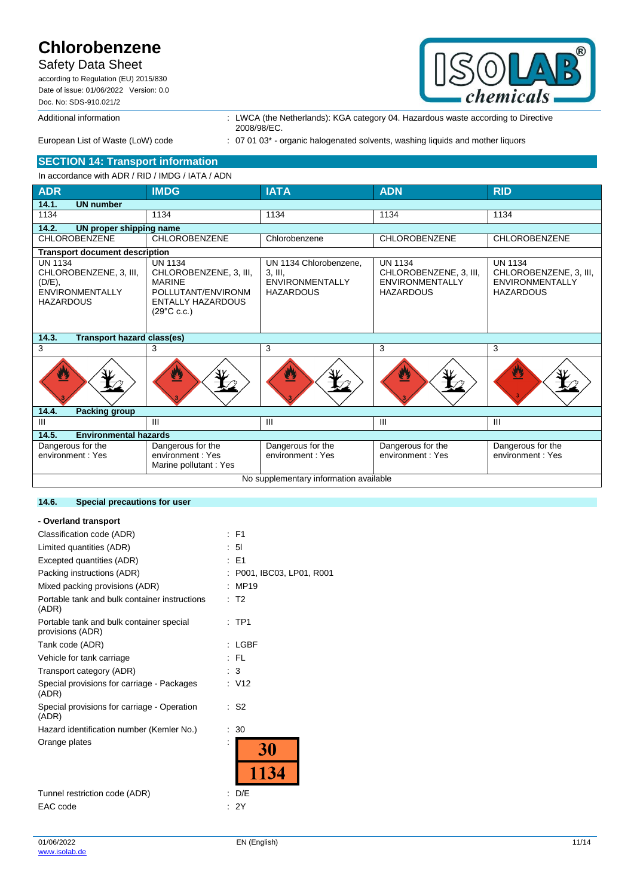## Safety Data Sheet

according to Regulation (EU) 2015/830 Date of issue: 01/06/2022 Version: 0.0 Doc. No: SDS-910.021/2



Additional information : LWCA (the Netherlands): KGA category 04. Hazardous waste according to Directive 2008/98/EC.

**SECTION 14: Transport information**

## European List of Waste (LoW) code : 07 01 03\* - organic halogenated solvents, washing liquids and mother liquors

#### In accordance with ADR / RID / IMDG / IATA / ADN **ADR IMDG IATA ADN RID 14.1. UN number** 1134 | 1134 | 1134 | 1134 | 1134 | 1134 | 1134 **14.2. UN proper shipping name** CHLOROBENZENE CHLOROBENZENE Chlorobenzene CHLOROBENZENE CHLOROBENZENE **Transport document description** UN 1134 CHLOROBENZENE, 3, III, (D/E), **ENVIRONMENTALLY** HAZARDOUS UN 1134 CHLOROBENZENE, 3, III, MARINE POLLUTANT/ENVIRONM ENTALLY HAZARDOUS  $(29^{\circ}$ C c.c.) UN 1134 Chlorobenzene, 3, III, **ENVIRONMENTALLY** HAZARDOUS UN 1134 CHLOROBENZENE, 3, III, ENVIRONMENTALLY HAZARDOUS UN 1134 CHLOROBENZENE, 3, III, **ENVIRONMENTALLY** HAZARDOUS **14.3. Transport hazard class(es)**  $3$  3  $\vert 3$  3  $\vert 3$  3 3 **14.4. Packing group** III III III III III **14.5. Environmental hazards** Dangerous for the environment : Yes Dangerous for the environment : Yes Marine pollutant : Yes Dangerous for the environment : Yes Dangerous for the environment : Yes Dangerous for the environment : Yes No supplementary information available

### **14.6. Special precautions for user**

#### **- Overland transport**

| Classification code (ADR)                                    | : F1                    |
|--------------------------------------------------------------|-------------------------|
| Limited quantities (ADR)                                     | : 51                    |
| Excepted quantities (ADR)                                    | : E1                    |
| Packing instructions (ADR)                                   | P001, IBC03, LP01, R001 |
| Mixed packing provisions (ADR)                               | MP19                    |
| Portable tank and bulk container instructions<br>(ADR)       | T <sub>2</sub>          |
| Portable tank and bulk container special<br>provisions (ADR) | $:$ TP1                 |
| Tank code (ADR)                                              | <b>LGBF</b>             |
| Vehicle for tank carriage                                    | : FL                    |
| Transport category (ADR)                                     | $\cdot$ 3               |
| Special provisions for carriage - Packages<br>(ADR)          | : V12                   |
| Special provisions for carriage - Operation<br>(ADR)         | : S2                    |
| Hazard identification number (Kemler No.)                    | 30                      |
| Orange plates                                                | 30                      |
|                                                              | 1134                    |
| Tunnel restriction code (ADR)                                | D/E                     |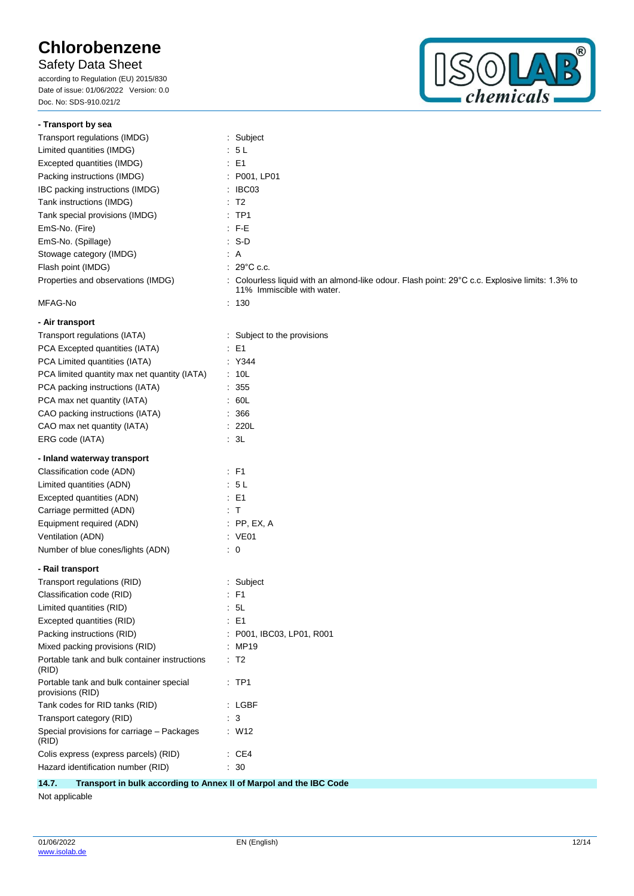Safety Data Sheet

according to Regulation (EU) 2015/830 Date of issue: 01/06/2022 Version: 0.0 Doc. No: SDS-910.021/2



| - Transport by sea                                           |                                                                                                                               |
|--------------------------------------------------------------|-------------------------------------------------------------------------------------------------------------------------------|
| Transport regulations (IMDG)                                 | : Subject                                                                                                                     |
| Limited quantities (IMDG)                                    | : 5L                                                                                                                          |
| Excepted quantities (IMDG)                                   | $\therefore$ E1                                                                                                               |
| Packing instructions (IMDG)                                  | : P001, LP01                                                                                                                  |
| IBC packing instructions (IMDG)                              | : IBC03                                                                                                                       |
| Tank instructions (IMDG)                                     | $\therefore$ T2                                                                                                               |
| Tank special provisions (IMDG)                               | $:$ TP1                                                                                                                       |
| EmS-No. (Fire)                                               | $E - FE$                                                                                                                      |
| EmS-No. (Spillage)                                           | $\therefore$ S-D                                                                                                              |
| Stowage category (IMDG)                                      | : A                                                                                                                           |
| Flash point (IMDG)                                           | $: 29^{\circ}$ C c.c.                                                                                                         |
| Properties and observations (IMDG)                           | : Colourless liquid with an almond-like odour. Flash point: 29°C c.c. Explosive limits: 1.3% to<br>11% Immiscible with water. |
| MFAG-No                                                      | $\therefore$ 130                                                                                                              |
| - Air transport                                              |                                                                                                                               |
| Transport regulations (IATA)                                 | : Subject to the provisions                                                                                                   |
| PCA Excepted quantities (IATA)                               | $\therefore$ E1                                                                                                               |
| PCA Limited quantities (IATA)                                | : Y344                                                                                                                        |
| PCA limited quantity max net quantity (IATA)                 | : 10L                                                                                                                         |
| PCA packing instructions (IATA)                              | : 355                                                                                                                         |
| PCA max net quantity (IATA)                                  | : 60L                                                                                                                         |
| CAO packing instructions (IATA)                              | : 366                                                                                                                         |
| CAO max net quantity (IATA)                                  | : 220L                                                                                                                        |
| ERG code (IATA)                                              | : 3L                                                                                                                          |
| - Inland waterway transport                                  |                                                                                                                               |
| Classification code (ADN)                                    | $\therefore$ F1                                                                                                               |
| Limited quantities (ADN)                                     | : 5L                                                                                                                          |
| Excepted quantities (ADN)                                    | $\therefore$ E1                                                                                                               |
| Carriage permitted (ADN)                                     | $\pm$ T                                                                                                                       |
| Equipment required (ADN)                                     | $:$ PP, EX, A                                                                                                                 |
| Ventilation (ADN)                                            | : VE01                                                                                                                        |
| Number of blue cones/lights (ADN)                            | $\therefore$ 0                                                                                                                |
| - Rail transport                                             |                                                                                                                               |
| Transport regulations (RID)                                  | : Subject                                                                                                                     |
| Classification code (RID)                                    | $:$ F1                                                                                                                        |
| Limited quantities (RID)                                     | - 5L                                                                                                                          |
| Excepted quantities (RID)                                    | E <sub>1</sub>                                                                                                                |
| Packing instructions (RID)                                   | P001, IBC03, LP01, R001                                                                                                       |
|                                                              |                                                                                                                               |
| Mixed packing provisions (RID)                               | : MP19                                                                                                                        |
| Portable tank and bulk container instructions<br>(RID)       | $\therefore$ T2                                                                                                               |
| Portable tank and bulk container special<br>provisions (RID) | $\therefore$ TP1                                                                                                              |
| Tank codes for RID tanks (RID)                               | : LGBF                                                                                                                        |
| Transport category (RID)                                     | : 3                                                                                                                           |
| Special provisions for carriage - Packages<br>(RID)          | $\therefore$ W12                                                                                                              |
| Colis express (express parcels) (RID)                        | $\cdot$ CE4                                                                                                                   |

**14.7. Transport in bulk according to Annex II of Marpol and the IBC Code**

Not applicable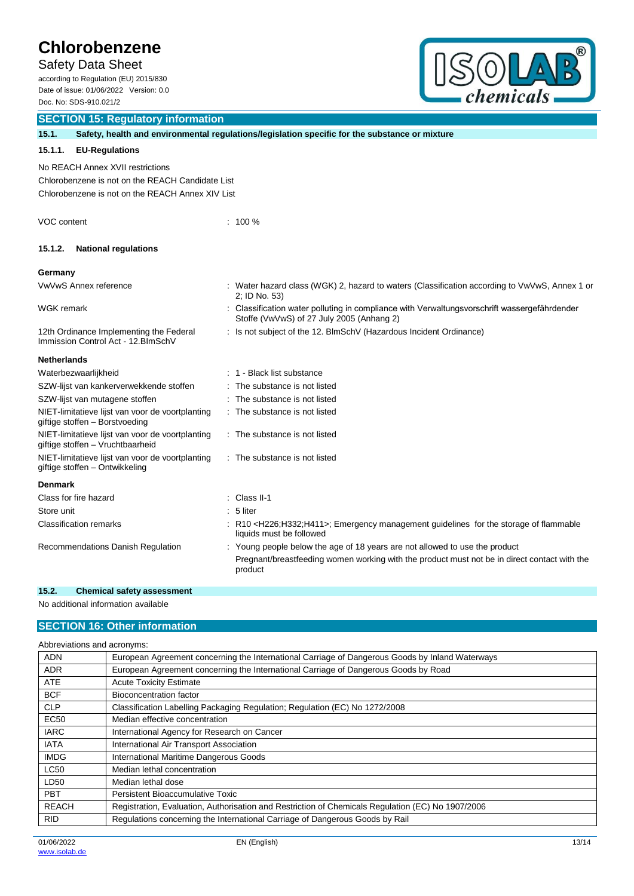Safety Data Sheet

according to Regulation (EU) 2015/830 Date of issue: 01/06/2022 Version: 0.0 Doc. No: SDS-910.021/2



## **SECTION 15: Regulatory information**

| 15.1.                                                                                                                                    |                                                                                      |  | Safety, health and environmental regulations/legislation specific for the substance or mixture                                          |  |  |
|------------------------------------------------------------------------------------------------------------------------------------------|--------------------------------------------------------------------------------------|--|-----------------------------------------------------------------------------------------------------------------------------------------|--|--|
| 15.1.1.                                                                                                                                  | <b>EU-Regulations</b>                                                                |  |                                                                                                                                         |  |  |
| No REACH Annex XVII restrictions<br>Chlorobenzene is not on the REACH Candidate List<br>Chlorobenzene is not on the REACH Annex XIV List |                                                                                      |  |                                                                                                                                         |  |  |
| VOC content                                                                                                                              |                                                                                      |  | $: 100 \%$                                                                                                                              |  |  |
| 15.1.2.                                                                                                                                  | <b>National regulations</b>                                                          |  |                                                                                                                                         |  |  |
| Germany                                                                                                                                  |                                                                                      |  |                                                                                                                                         |  |  |
|                                                                                                                                          | VwVwS Annex reference                                                                |  | : Water hazard class (WGK) 2, hazard to waters (Classification according to VwVwS, Annex 1 or<br>2; ID No. 53)                          |  |  |
| WGK remark                                                                                                                               |                                                                                      |  | Classification water polluting in compliance with Verwaltungsvorschrift wassergefährdender<br>Stoffe (VwVwS) of 27 July 2005 (Anhang 2) |  |  |
|                                                                                                                                          | 12th Ordinance Implementing the Federal<br>Immission Control Act - 12. BlmSchV       |  | : Is not subject of the 12. BImSchV (Hazardous Incident Ordinance)                                                                      |  |  |
| <b>Netherlands</b>                                                                                                                       |                                                                                      |  |                                                                                                                                         |  |  |
|                                                                                                                                          | Waterbezwaarlijkheid                                                                 |  | : 1 - Black list substance                                                                                                              |  |  |
|                                                                                                                                          | SZW-lijst van kankerverwekkende stoffen                                              |  | The substance is not listed                                                                                                             |  |  |
|                                                                                                                                          | SZW-lijst van mutagene stoffen                                                       |  | The substance is not listed                                                                                                             |  |  |
|                                                                                                                                          | NIET-limitatieve lijst van voor de voortplanting<br>giftige stoffen - Borstvoeding   |  | : The substance is not listed                                                                                                           |  |  |
|                                                                                                                                          | NIET-limitatieve lijst van voor de voortplanting<br>giftige stoffen - Vruchtbaarheid |  | : The substance is not listed                                                                                                           |  |  |
|                                                                                                                                          | NIET-limitatieve lijst van voor de voortplanting<br>giftige stoffen - Ontwikkeling   |  | : The substance is not listed                                                                                                           |  |  |
| <b>Denmark</b>                                                                                                                           |                                                                                      |  |                                                                                                                                         |  |  |
|                                                                                                                                          | Class for fire hazard                                                                |  | Class II-1                                                                                                                              |  |  |
| Store unit                                                                                                                               |                                                                                      |  | 5 liter                                                                                                                                 |  |  |
|                                                                                                                                          | <b>Classification remarks</b>                                                        |  | : R10 <h226;h332;h411>; Emergency management guidelines for the storage of flammable<br/>liquids must be followed</h226;h332;h411>      |  |  |
|                                                                                                                                          | Recommendations Danish Regulation                                                    |  | : Young people below the age of 18 years are not allowed to use the product                                                             |  |  |
|                                                                                                                                          |                                                                                      |  | Pregnant/breastfeeding women working with the product must not be in direct contact with the<br>product                                 |  |  |

### **15.2. Chemical safety assessment**

No additional information available

### **SECTION 16: Other information**

| Abbreviations and acronyms: |                                                                                                   |  |  |  |
|-----------------------------|---------------------------------------------------------------------------------------------------|--|--|--|
| <b>ADN</b>                  | European Agreement concerning the International Carriage of Dangerous Goods by Inland Waterways   |  |  |  |
| <b>ADR</b>                  | European Agreement concerning the International Carriage of Dangerous Goods by Road               |  |  |  |
| <b>ATE</b>                  | <b>Acute Toxicity Estimate</b>                                                                    |  |  |  |
| <b>BCF</b>                  | Bioconcentration factor                                                                           |  |  |  |
| <b>CLP</b>                  | Classification Labelling Packaging Regulation; Regulation (EC) No 1272/2008                       |  |  |  |
| <b>EC50</b>                 | Median effective concentration                                                                    |  |  |  |
| <b>IARC</b>                 | International Agency for Research on Cancer                                                       |  |  |  |
| <b>IATA</b>                 | International Air Transport Association                                                           |  |  |  |
| <b>IMDG</b>                 | International Maritime Dangerous Goods                                                            |  |  |  |
| <b>LC50</b>                 | Median lethal concentration                                                                       |  |  |  |
| LD50                        | Median lethal dose                                                                                |  |  |  |
| <b>PBT</b>                  | Persistent Bioaccumulative Toxic                                                                  |  |  |  |
| <b>REACH</b>                | Registration, Evaluation, Authorisation and Restriction of Chemicals Regulation (EC) No 1907/2006 |  |  |  |
| <b>RID</b>                  | Regulations concerning the International Carriage of Dangerous Goods by Rail                      |  |  |  |